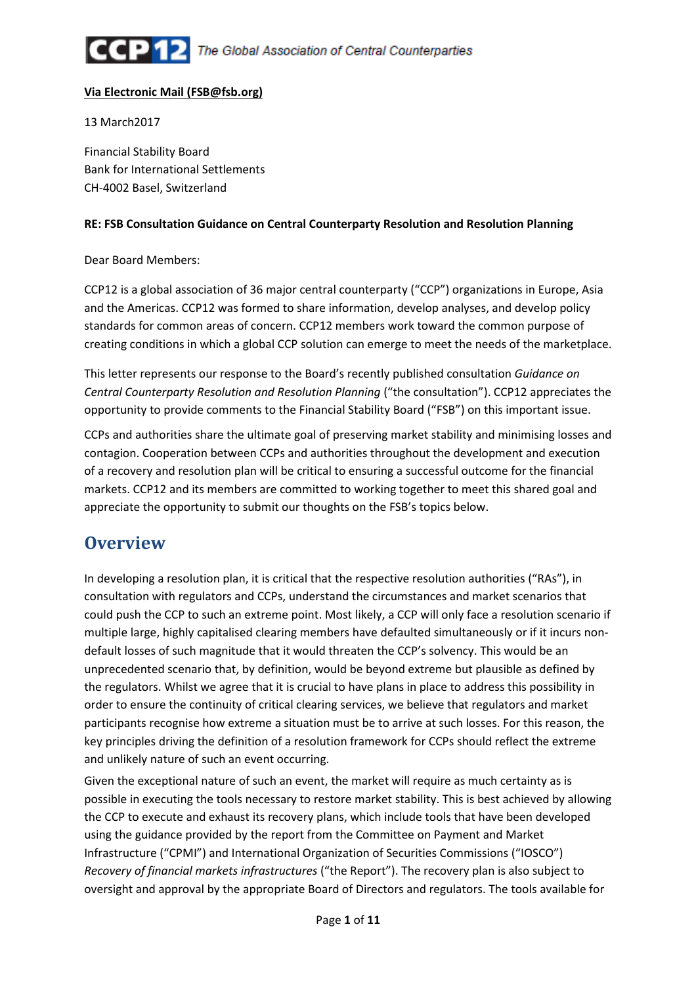

#### Via Electronic Mail (FSB@fsb.org)

13 March2017

Financial Stability Board Bank for International Settlements CH-4002 Basel, Switzerland

#### RE: FSB Consultation Guidance on Central Counterparty Resolution and Resolution Planning

#### Dear Board Members:

CCP12 is a global association of 36 major central counterparty ("CCP") organizations in Europe, Asia and the Americas. CCP12 was formed to share information, develop analyses, and develop policy standards for common areas of concern. CCP12 members work toward the common purpose of creating conditions in which a global CCP solution can emerge to meet the needs of the marketplace.

This letter represents our response to the Board's recently published consultation Guidance on Central Counterparty Resolution and Resolution Planning ("the consultation"). CCP12 appreciates the opportunity to provide comments to the Financial Stability Board ("FSB") on this important issue.

CCPs and authorities share the ultimate goal of preserving market stability and minimising losses and contagion. Cooperation between CCPs and authorities throughout the development and execution of a recovery and resolution plan will be critical to ensuring a successful outcome for the financial markets. CCP12 and its members are committed to working together to meet this shared goal and appreciate the opportunity to submit our thoughts on the FSB's topics below.

# **Overview**

In developing a resolution plan, it is critical that the respective resolution authorities ("RAs"), in consultation with regulators and CCPs, understand the circumstances and market scenarios that could push the CCP to such an extreme point. Most likely, a CCP will only face a resolution scenario if multiple large, highly capitalised clearing members have defaulted simultaneously or if it incurs nondefault losses of such magnitude that it would threaten the CCP's solvency. This would be an unprecedented scenario that, by definition, would be beyond extreme but plausible as defined by the regulators. Whilst we agree that it is crucial to have plans in place to address this possibility in order to ensure the continuity of critical clearing services, we believe that regulators and market participants recognise how extreme a situation must be to arrive at such losses. For this reason, the key principles driving the definition of a resolution framework for CCPs should reflect the extreme and unlikely nature of such an event occurring.

Given the exceptional nature of such an event, the market will require as much certainty as is possible in executing the tools necessary to restore market stability. This is best achieved by allowing the CCP to execute and exhaust its recovery plans, which include tools that have been developed using the guidance provided by the report from the Committee on Payment and Market Infrastructure ("CPMI") and International Organization of Securities Commissions ("IOSCO") Recovery of financial markets infrastructures ("the Report"). The recovery plan is also subject to oversight and approval by the appropriate Board of Directors and regulators. The tools available for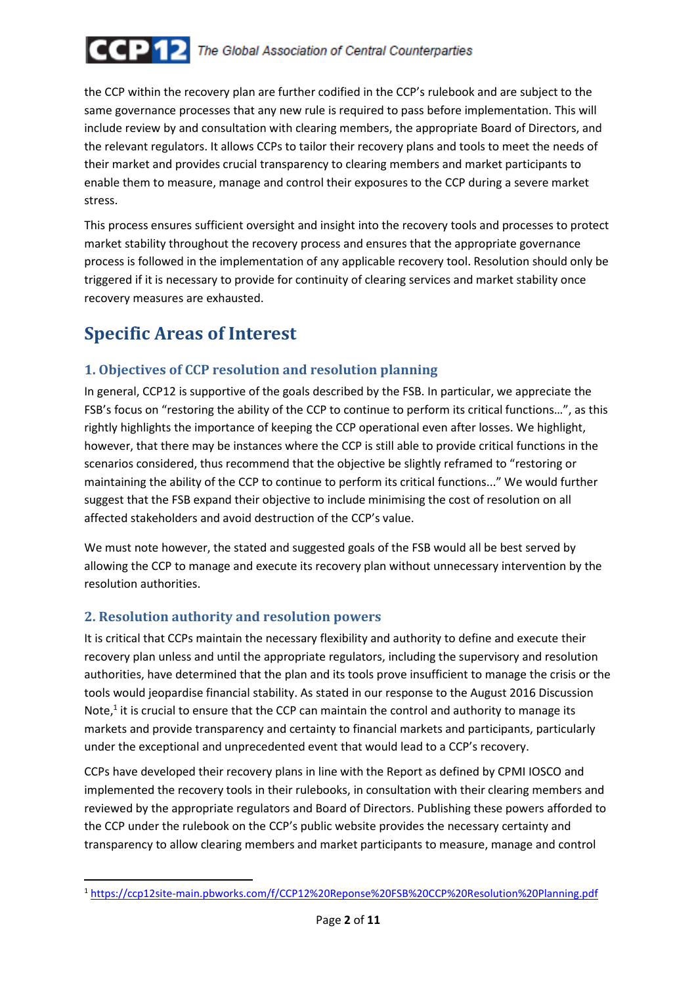

the CCP within the recovery plan are further codified in the CCP's rulebook and are subject to the same governance processes that any new rule is required to pass before implementation. This will include review by and consultation with clearing members, the appropriate Board of Directors, and the relevant regulators. It allows CCPs to tailor their recovery plans and tools to meet the needs of their market and provides crucial transparency to clearing members and market participants to enable them to measure, manage and control their exposures to the CCP during a severe market stress.

This process ensures sufficient oversight and insight into the recovery tools and processes to protect market stability throughout the recovery process and ensures that the appropriate governance process is followed in the implementation of any applicable recovery tool. Resolution should only be triggered if it is necessary to provide for continuity of clearing services and market stability once recovery measures are exhausted.

# **Specific Areas of Interest**

### 1. Objectives of CCP resolution and resolution planning

In general, CCP12 is supportive of the goals described by the FSB. In particular, we appreciate the FSB's focus on "restoring the ability of the CCP to continue to perform its critical functions…", as this rightly highlights the importance of keeping the CCP operational even after losses. We highlight, however, that there may be instances where the CCP is still able to provide critical functions in the scenarios considered, thus recommend that the objective be slightly reframed to "restoring or maintaining the ability of the CCP to continue to perform its critical functions..." We would further suggest that the FSB expand their objective to include minimising the cost of resolution on all affected stakeholders and avoid destruction of the CCP's value.

We must note however, the stated and suggested goals of the FSB would all be best served by allowing the CCP to manage and execute its recovery plan without unnecessary intervention by the resolution authorities.

### 2. Resolution authority and resolution powers

 $\overline{a}$ 

It is critical that CCPs maintain the necessary flexibility and authority to define and execute their recovery plan unless and until the appropriate regulators, including the supervisory and resolution authorities, have determined that the plan and its tools prove insufficient to manage the crisis or the tools would jeopardise financial stability. As stated in our response to the August 2016 Discussion Note, $<sup>1</sup>$  it is crucial to ensure that the CCP can maintain the control and authority to manage its</sup> markets and provide transparency and certainty to financial markets and participants, particularly under the exceptional and unprecedented event that would lead to a CCP's recovery.

CCPs have developed their recovery plans in line with the Report as defined by CPMI IOSCO and implemented the recovery tools in their rulebooks, in consultation with their clearing members and reviewed by the appropriate regulators and Board of Directors. Publishing these powers afforded to the CCP under the rulebook on the CCP's public website provides the necessary certainty and transparency to allow clearing members and market participants to measure, manage and control

<sup>1</sup> https://ccp12site-main.pbworks.com/f/CCP12%20Reponse%20FSB%20CCP%20Resolution%20Planning.pdf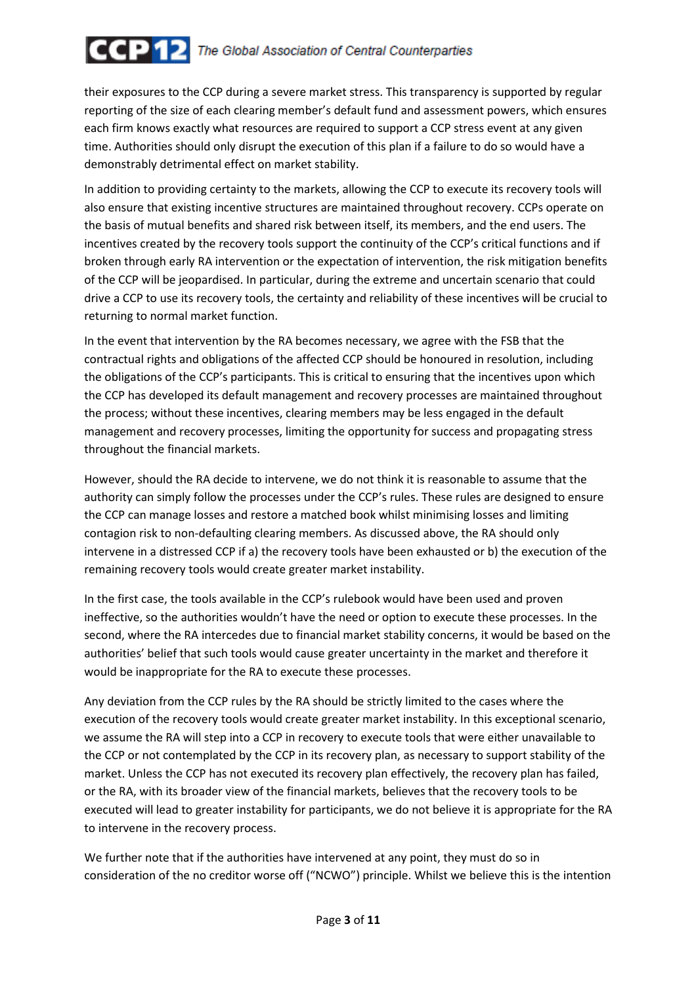# **CCP12** The Global Association of Central Counterparties

their exposures to the CCP during a severe market stress. This transparency is supported by regular reporting of the size of each clearing member's default fund and assessment powers, which ensures each firm knows exactly what resources are required to support a CCP stress event at any given time. Authorities should only disrupt the execution of this plan if a failure to do so would have a demonstrably detrimental effect on market stability.

In addition to providing certainty to the markets, allowing the CCP to execute its recovery tools will also ensure that existing incentive structures are maintained throughout recovery. CCPs operate on the basis of mutual benefits and shared risk between itself, its members, and the end users. The incentives created by the recovery tools support the continuity of the CCP's critical functions and if broken through early RA intervention or the expectation of intervention, the risk mitigation benefits of the CCP will be jeopardised. In particular, during the extreme and uncertain scenario that could drive a CCP to use its recovery tools, the certainty and reliability of these incentives will be crucial to returning to normal market function.

In the event that intervention by the RA becomes necessary, we agree with the FSB that the contractual rights and obligations of the affected CCP should be honoured in resolution, including the obligations of the CCP's participants. This is critical to ensuring that the incentives upon which the CCP has developed its default management and recovery processes are maintained throughout the process; without these incentives, clearing members may be less engaged in the default management and recovery processes, limiting the opportunity for success and propagating stress throughout the financial markets.

However, should the RA decide to intervene, we do not think it is reasonable to assume that the authority can simply follow the processes under the CCP's rules. These rules are designed to ensure the CCP can manage losses and restore a matched book whilst minimising losses and limiting contagion risk to non-defaulting clearing members. As discussed above, the RA should only intervene in a distressed CCP if a) the recovery tools have been exhausted or b) the execution of the remaining recovery tools would create greater market instability.

In the first case, the tools available in the CCP's rulebook would have been used and proven ineffective, so the authorities wouldn't have the need or option to execute these processes. In the second, where the RA intercedes due to financial market stability concerns, it would be based on the authorities' belief that such tools would cause greater uncertainty in the market and therefore it would be inappropriate for the RA to execute these processes.

Any deviation from the CCP rules by the RA should be strictly limited to the cases where the execution of the recovery tools would create greater market instability. In this exceptional scenario, we assume the RA will step into a CCP in recovery to execute tools that were either unavailable to the CCP or not contemplated by the CCP in its recovery plan, as necessary to support stability of the market. Unless the CCP has not executed its recovery plan effectively, the recovery plan has failed, or the RA, with its broader view of the financial markets, believes that the recovery tools to be executed will lead to greater instability for participants, we do not believe it is appropriate for the RA to intervene in the recovery process.

We further note that if the authorities have intervened at any point, they must do so in consideration of the no creditor worse off ("NCWO") principle. Whilst we believe this is the intention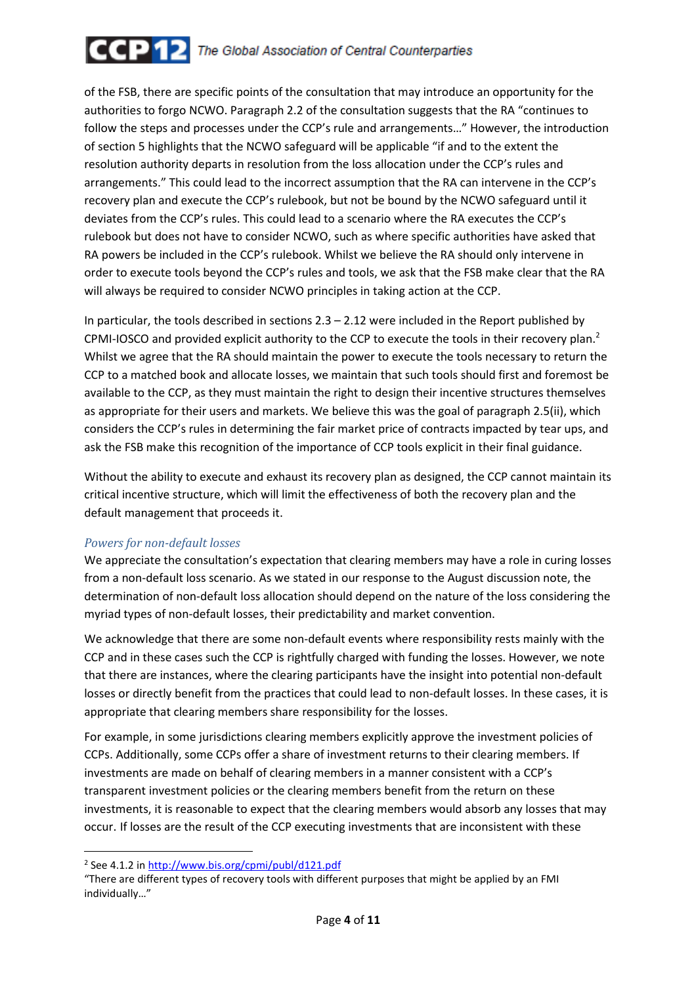

of the FSB, there are specific points of the consultation that may introduce an opportunity for the authorities to forgo NCWO. Paragraph 2.2 of the consultation suggests that the RA "continues to follow the steps and processes under the CCP's rule and arrangements…" However, the introduction of section 5 highlights that the NCWO safeguard will be applicable "if and to the extent the resolution authority departs in resolution from the loss allocation under the CCP's rules and arrangements." This could lead to the incorrect assumption that the RA can intervene in the CCP's recovery plan and execute the CCP's rulebook, but not be bound by the NCWO safeguard until it deviates from the CCP's rules. This could lead to a scenario where the RA executes the CCP's rulebook but does not have to consider NCWO, such as where specific authorities have asked that RA powers be included in the CCP's rulebook. Whilst we believe the RA should only intervene in order to execute tools beyond the CCP's rules and tools, we ask that the FSB make clear that the RA will always be required to consider NCWO principles in taking action at the CCP.

In particular, the tools described in sections  $2.3 - 2.12$  were included in the Report published by CPMI-IOSCO and provided explicit authority to the CCP to execute the tools in their recovery plan.<sup>2</sup> Whilst we agree that the RA should maintain the power to execute the tools necessary to return the CCP to a matched book and allocate losses, we maintain that such tools should first and foremost be available to the CCP, as they must maintain the right to design their incentive structures themselves as appropriate for their users and markets. We believe this was the goal of paragraph 2.5(ii), which considers the CCP's rules in determining the fair market price of contracts impacted by tear ups, and ask the FSB make this recognition of the importance of CCP tools explicit in their final guidance.

Without the ability to execute and exhaust its recovery plan as designed, the CCP cannot maintain its critical incentive structure, which will limit the effectiveness of both the recovery plan and the default management that proceeds it.

#### Powers for non-default losses

We appreciate the consultation's expectation that clearing members may have a role in curing losses from a non-default loss scenario. As we stated in our response to the August discussion note, the determination of non-default loss allocation should depend on the nature of the loss considering the myriad types of non-default losses, their predictability and market convention.

We acknowledge that there are some non-default events where responsibility rests mainly with the CCP and in these cases such the CCP is rightfully charged with funding the losses. However, we note that there are instances, where the clearing participants have the insight into potential non-default losses or directly benefit from the practices that could lead to non-default losses. In these cases, it is appropriate that clearing members share responsibility for the losses.

For example, in some jurisdictions clearing members explicitly approve the investment policies of CCPs. Additionally, some CCPs offer a share of investment returns to their clearing members. If investments are made on behalf of clearing members in a manner consistent with a CCP's transparent investment policies or the clearing members benefit from the return on these investments, it is reasonable to expect that the clearing members would absorb any losses that may occur. If losses are the result of the CCP executing investments that are inconsistent with these

 $\overline{a}$ 

<sup>&</sup>lt;sup>2</sup> See 4.1.2 in http://www.bis.org/cpmi/publ/d121.pdf

<sup>&</sup>quot;There are different types of recovery tools with different purposes that might be applied by an FMI individually…"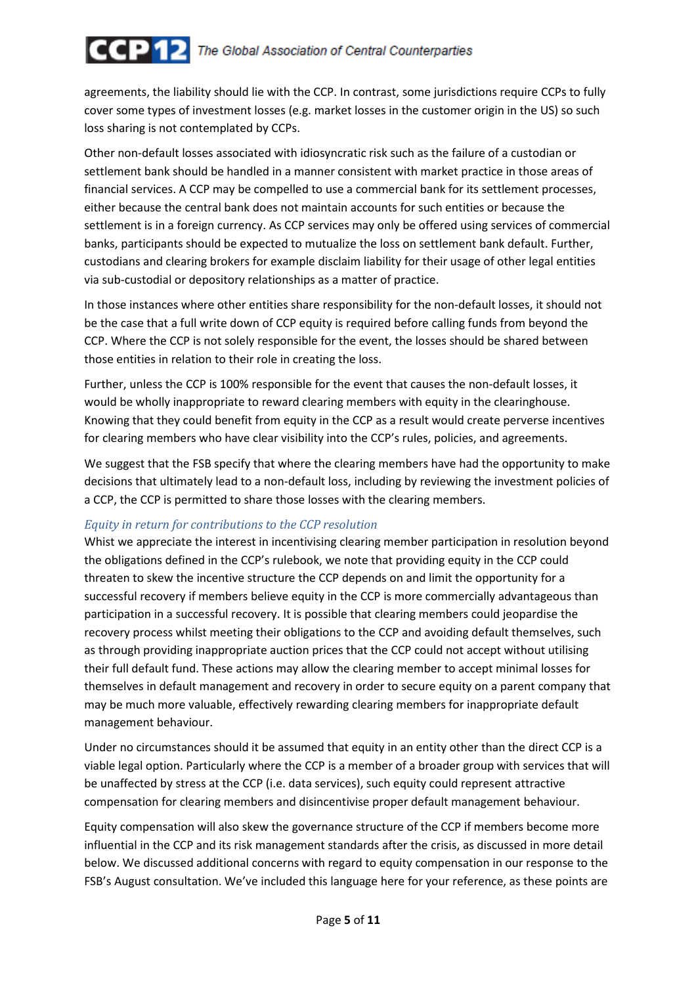agreements, the liability should lie with the CCP. In contrast, some jurisdictions require CCPs to fully cover some types of investment losses (e.g. market losses in the customer origin in the US) so such loss sharing is not contemplated by CCPs.

Other non-default losses associated with idiosyncratic risk such as the failure of a custodian or settlement bank should be handled in a manner consistent with market practice in those areas of financial services. A CCP may be compelled to use a commercial bank for its settlement processes, either because the central bank does not maintain accounts for such entities or because the settlement is in a foreign currency. As CCP services may only be offered using services of commercial banks, participants should be expected to mutualize the loss on settlement bank default. Further, custodians and clearing brokers for example disclaim liability for their usage of other legal entities via sub-custodial or depository relationships as a matter of practice.

In those instances where other entities share responsibility for the non-default losses, it should not be the case that a full write down of CCP equity is required before calling funds from beyond the CCP. Where the CCP is not solely responsible for the event, the losses should be shared between those entities in relation to their role in creating the loss.

Further, unless the CCP is 100% responsible for the event that causes the non-default losses, it would be wholly inappropriate to reward clearing members with equity in the clearinghouse. Knowing that they could benefit from equity in the CCP as a result would create perverse incentives for clearing members who have clear visibility into the CCP's rules, policies, and agreements.

We suggest that the FSB specify that where the clearing members have had the opportunity to make decisions that ultimately lead to a non-default loss, including by reviewing the investment policies of a CCP, the CCP is permitted to share those losses with the clearing members.

### Equity in return for contributions to the CCP resolution

Whist we appreciate the interest in incentivising clearing member participation in resolution beyond the obligations defined in the CCP's rulebook, we note that providing equity in the CCP could threaten to skew the incentive structure the CCP depends on and limit the opportunity for a successful recovery if members believe equity in the CCP is more commercially advantageous than participation in a successful recovery. It is possible that clearing members could jeopardise the recovery process whilst meeting their obligations to the CCP and avoiding default themselves, such as through providing inappropriate auction prices that the CCP could not accept without utilising their full default fund. These actions may allow the clearing member to accept minimal losses for themselves in default management and recovery in order to secure equity on a parent company that may be much more valuable, effectively rewarding clearing members for inappropriate default management behaviour.

Under no circumstances should it be assumed that equity in an entity other than the direct CCP is a viable legal option. Particularly where the CCP is a member of a broader group with services that will be unaffected by stress at the CCP (i.e. data services), such equity could represent attractive compensation for clearing members and disincentivise proper default management behaviour.

Equity compensation will also skew the governance structure of the CCP if members become more influential in the CCP and its risk management standards after the crisis, as discussed in more detail below. We discussed additional concerns with regard to equity compensation in our response to the FSB's August consultation. We've included this language here for your reference, as these points are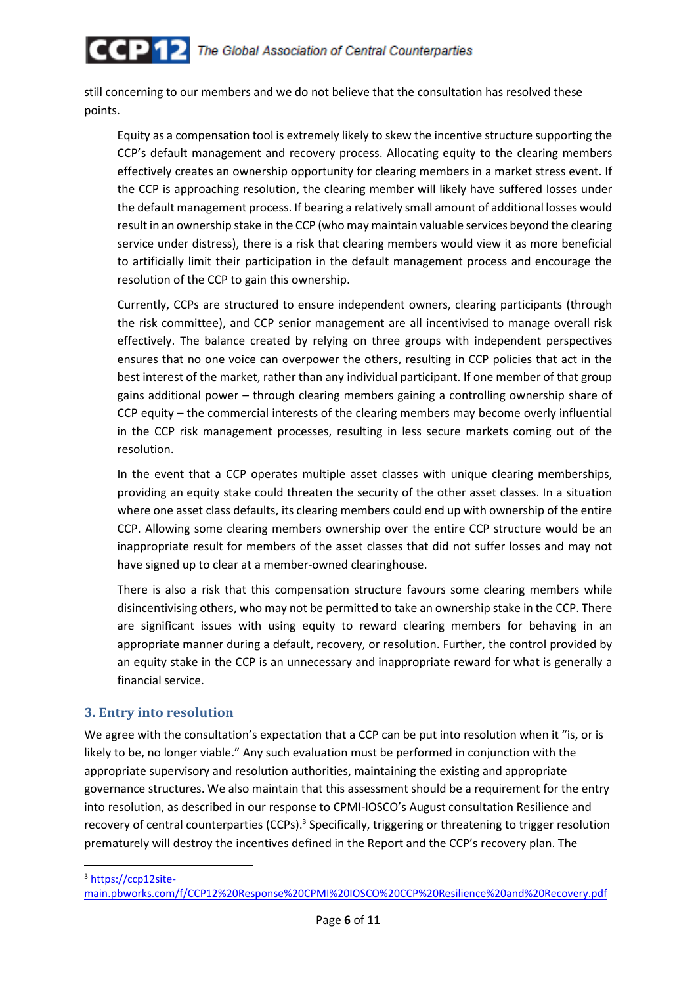

still concerning to our members and we do not believe that the consultation has resolved these points.

Equity as a compensation tool is extremely likely to skew the incentive structure supporting the CCP's default management and recovery process. Allocating equity to the clearing members effectively creates an ownership opportunity for clearing members in a market stress event. If the CCP is approaching resolution, the clearing member will likely have suffered losses under the default management process. If bearing a relatively small amount of additional losses would result in an ownership stake in the CCP (who may maintain valuable services beyond the clearing service under distress), there is a risk that clearing members would view it as more beneficial to artificially limit their participation in the default management process and encourage the resolution of the CCP to gain this ownership.

Currently, CCPs are structured to ensure independent owners, clearing participants (through the risk committee), and CCP senior management are all incentivised to manage overall risk effectively. The balance created by relying on three groups with independent perspectives ensures that no one voice can overpower the others, resulting in CCP policies that act in the best interest of the market, rather than any individual participant. If one member of that group gains additional power – through clearing members gaining a controlling ownership share of CCP equity – the commercial interests of the clearing members may become overly influential in the CCP risk management processes, resulting in less secure markets coming out of the resolution.

In the event that a CCP operates multiple asset classes with unique clearing memberships, providing an equity stake could threaten the security of the other asset classes. In a situation where one asset class defaults, its clearing members could end up with ownership of the entire CCP. Allowing some clearing members ownership over the entire CCP structure would be an inappropriate result for members of the asset classes that did not suffer losses and may not have signed up to clear at a member-owned clearinghouse.

There is also a risk that this compensation structure favours some clearing members while disincentivising others, who may not be permitted to take an ownership stake in the CCP. There are significant issues with using equity to reward clearing members for behaving in an appropriate manner during a default, recovery, or resolution. Further, the control provided by an equity stake in the CCP is an unnecessary and inappropriate reward for what is generally a financial service.

#### 3. Entry into resolution

We agree with the consultation's expectation that a CCP can be put into resolution when it "is, or is likely to be, no longer viable." Any such evaluation must be performed in conjunction with the appropriate supervisory and resolution authorities, maintaining the existing and appropriate governance structures. We also maintain that this assessment should be a requirement for the entry into resolution, as described in our response to CPMI-IOSCO's August consultation Resilience and recovery of central counterparties (CCPs).<sup>3</sup> Specifically, triggering or threatening to trigger resolution prematurely will destroy the incentives defined in the Report and the CCP's recovery plan. The

<sup>3</sup> https://ccp12site-

 $\overline{\phantom{0}}$ 

main.pbworks.com/f/CCP12%20Response%20CPMI%20IOSCO%20CCP%20Resilience%20and%20Recovery.pdf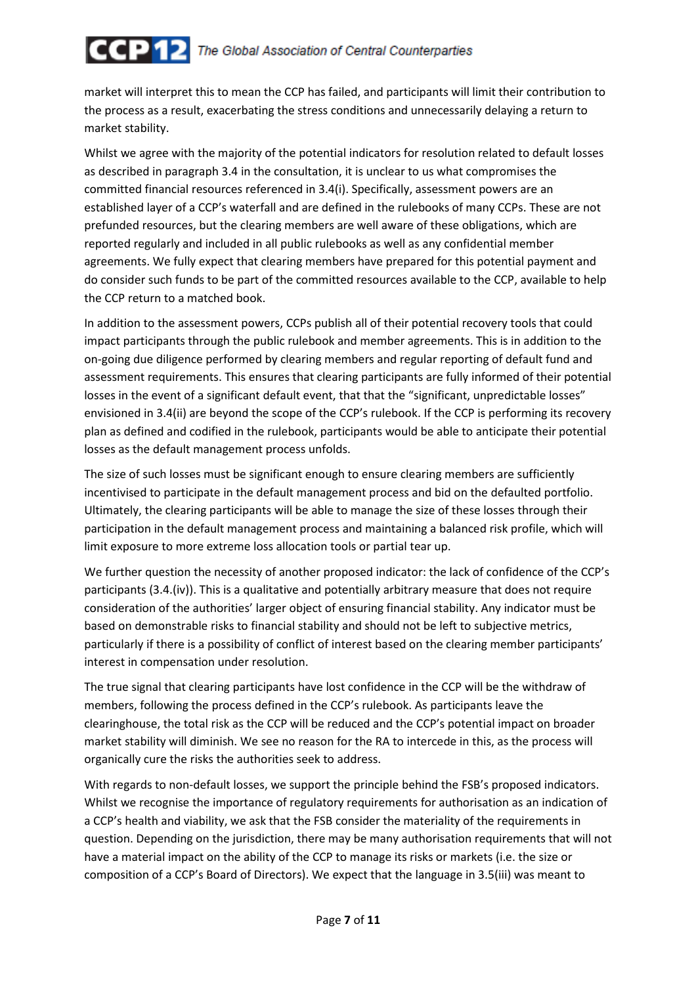market will interpret this to mean the CCP has failed, and participants will limit their contribution to the process as a result, exacerbating the stress conditions and unnecessarily delaying a return to market stability.

Whilst we agree with the majority of the potential indicators for resolution related to default losses as described in paragraph 3.4 in the consultation, it is unclear to us what compromises the committed financial resources referenced in 3.4(i). Specifically, assessment powers are an established layer of a CCP's waterfall and are defined in the rulebooks of many CCPs. These are not prefunded resources, but the clearing members are well aware of these obligations, which are reported regularly and included in all public rulebooks as well as any confidential member agreements. We fully expect that clearing members have prepared for this potential payment and do consider such funds to be part of the committed resources available to the CCP, available to help the CCP return to a matched book.

In addition to the assessment powers, CCPs publish all of their potential recovery tools that could impact participants through the public rulebook and member agreements. This is in addition to the on-going due diligence performed by clearing members and regular reporting of default fund and assessment requirements. This ensures that clearing participants are fully informed of their potential losses in the event of a significant default event, that that the "significant, unpredictable losses" envisioned in 3.4(ii) are beyond the scope of the CCP's rulebook. If the CCP is performing its recovery plan as defined and codified in the rulebook, participants would be able to anticipate their potential losses as the default management process unfolds.

The size of such losses must be significant enough to ensure clearing members are sufficiently incentivised to participate in the default management process and bid on the defaulted portfolio. Ultimately, the clearing participants will be able to manage the size of these losses through their participation in the default management process and maintaining a balanced risk profile, which will limit exposure to more extreme loss allocation tools or partial tear up.

We further question the necessity of another proposed indicator: the lack of confidence of the CCP's participants (3.4.(iv)). This is a qualitative and potentially arbitrary measure that does not require consideration of the authorities' larger object of ensuring financial stability. Any indicator must be based on demonstrable risks to financial stability and should not be left to subjective metrics, particularly if there is a possibility of conflict of interest based on the clearing member participants' interest in compensation under resolution.

The true signal that clearing participants have lost confidence in the CCP will be the withdraw of members, following the process defined in the CCP's rulebook. As participants leave the clearinghouse, the total risk as the CCP will be reduced and the CCP's potential impact on broader market stability will diminish. We see no reason for the RA to intercede in this, as the process will organically cure the risks the authorities seek to address.

With regards to non-default losses, we support the principle behind the FSB's proposed indicators. Whilst we recognise the importance of regulatory requirements for authorisation as an indication of a CCP's health and viability, we ask that the FSB consider the materiality of the requirements in question. Depending on the jurisdiction, there may be many authorisation requirements that will not have a material impact on the ability of the CCP to manage its risks or markets (i.e. the size or composition of a CCP's Board of Directors). We expect that the language in 3.5(iii) was meant to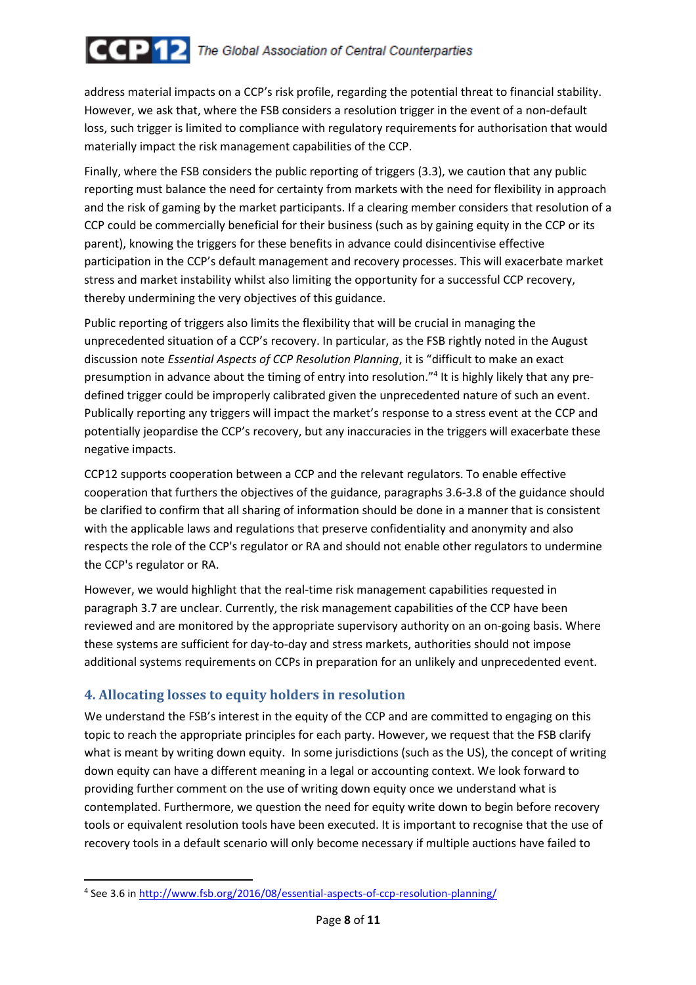# **CCP12** The Global Association of Central Counterparties

address material impacts on a CCP's risk profile, regarding the potential threat to financial stability. However, we ask that, where the FSB considers a resolution trigger in the event of a non-default loss, such trigger is limited to compliance with regulatory requirements for authorisation that would materially impact the risk management capabilities of the CCP.

Finally, where the FSB considers the public reporting of triggers (3.3), we caution that any public reporting must balance the need for certainty from markets with the need for flexibility in approach and the risk of gaming by the market participants. If a clearing member considers that resolution of a CCP could be commercially beneficial for their business (such as by gaining equity in the CCP or its parent), knowing the triggers for these benefits in advance could disincentivise effective participation in the CCP's default management and recovery processes. This will exacerbate market stress and market instability whilst also limiting the opportunity for a successful CCP recovery, thereby undermining the very objectives of this guidance.

Public reporting of triggers also limits the flexibility that will be crucial in managing the unprecedented situation of a CCP's recovery. In particular, as the FSB rightly noted in the August discussion note *Essential Aspects of CCP Resolution Planning*, it is "difficult to make an exact presumption in advance about the timing of entry into resolution."<sup>4</sup> It is highly likely that any predefined trigger could be improperly calibrated given the unprecedented nature of such an event. Publically reporting any triggers will impact the market's response to a stress event at the CCP and potentially jeopardise the CCP's recovery, but any inaccuracies in the triggers will exacerbate these negative impacts.

CCP12 supports cooperation between a CCP and the relevant regulators. To enable effective cooperation that furthers the objectives of the guidance, paragraphs 3.6-3.8 of the guidance should be clarified to confirm that all sharing of information should be done in a manner that is consistent with the applicable laws and regulations that preserve confidentiality and anonymity and also respects the role of the CCP's regulator or RA and should not enable other regulators to undermine the CCP's regulator or RA.

However, we would highlight that the real-time risk management capabilities requested in paragraph 3.7 are unclear. Currently, the risk management capabilities of the CCP have been reviewed and are monitored by the appropriate supervisory authority on an on-going basis. Where these systems are sufficient for day-to-day and stress markets, authorities should not impose additional systems requirements on CCPs in preparation for an unlikely and unprecedented event.

## 4. Allocating losses to equity holders in resolution

 $\overline{a}$ 

We understand the FSB's interest in the equity of the CCP and are committed to engaging on this topic to reach the appropriate principles for each party. However, we request that the FSB clarify what is meant by writing down equity. In some jurisdictions (such as the US), the concept of writing down equity can have a different meaning in a legal or accounting context. We look forward to providing further comment on the use of writing down equity once we understand what is contemplated. Furthermore, we question the need for equity write down to begin before recovery tools or equivalent resolution tools have been executed. It is important to recognise that the use of recovery tools in a default scenario will only become necessary if multiple auctions have failed to

<sup>&</sup>lt;sup>4</sup> See 3.6 in http://www.fsb.org/2016/08/essential-aspects-of-ccp-resolution-planning/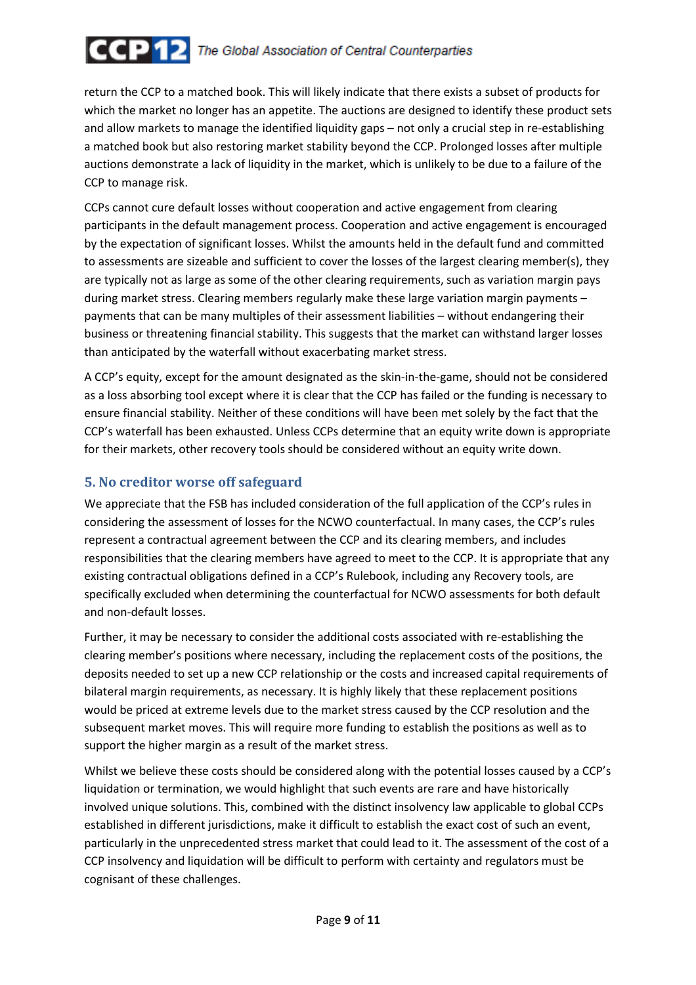# **CCP12** The Global Association of Central Counterparties

return the CCP to a matched book. This will likely indicate that there exists a subset of products for which the market no longer has an appetite. The auctions are designed to identify these product sets and allow markets to manage the identified liquidity gaps – not only a crucial step in re-establishing a matched book but also restoring market stability beyond the CCP. Prolonged losses after multiple auctions demonstrate a lack of liquidity in the market, which is unlikely to be due to a failure of the CCP to manage risk.

CCPs cannot cure default losses without cooperation and active engagement from clearing participants in the default management process. Cooperation and active engagement is encouraged by the expectation of significant losses. Whilst the amounts held in the default fund and committed to assessments are sizeable and sufficient to cover the losses of the largest clearing member(s), they are typically not as large as some of the other clearing requirements, such as variation margin pays during market stress. Clearing members regularly make these large variation margin payments – payments that can be many multiples of their assessment liabilities – without endangering their business or threatening financial stability. This suggests that the market can withstand larger losses than anticipated by the waterfall without exacerbating market stress.

A CCP's equity, except for the amount designated as the skin-in-the-game, should not be considered as a loss absorbing tool except where it is clear that the CCP has failed or the funding is necessary to ensure financial stability. Neither of these conditions will have been met solely by the fact that the CCP's waterfall has been exhausted. Unless CCPs determine that an equity write down is appropriate for their markets, other recovery tools should be considered without an equity write down.

### 5. No creditor worse off safeguard

We appreciate that the FSB has included consideration of the full application of the CCP's rules in considering the assessment of losses for the NCWO counterfactual. In many cases, the CCP's rules represent a contractual agreement between the CCP and its clearing members, and includes responsibilities that the clearing members have agreed to meet to the CCP. It is appropriate that any existing contractual obligations defined in a CCP's Rulebook, including any Recovery tools, are specifically excluded when determining the counterfactual for NCWO assessments for both default and non-default losses.

Further, it may be necessary to consider the additional costs associated with re-establishing the clearing member's positions where necessary, including the replacement costs of the positions, the deposits needed to set up a new CCP relationship or the costs and increased capital requirements of bilateral margin requirements, as necessary. It is highly likely that these replacement positions would be priced at extreme levels due to the market stress caused by the CCP resolution and the subsequent market moves. This will require more funding to establish the positions as well as to support the higher margin as a result of the market stress.

Whilst we believe these costs should be considered along with the potential losses caused by a CCP's liquidation or termination, we would highlight that such events are rare and have historically involved unique solutions. This, combined with the distinct insolvency law applicable to global CCPs established in different jurisdictions, make it difficult to establish the exact cost of such an event, particularly in the unprecedented stress market that could lead to it. The assessment of the cost of a CCP insolvency and liquidation will be difficult to perform with certainty and regulators must be cognisant of these challenges.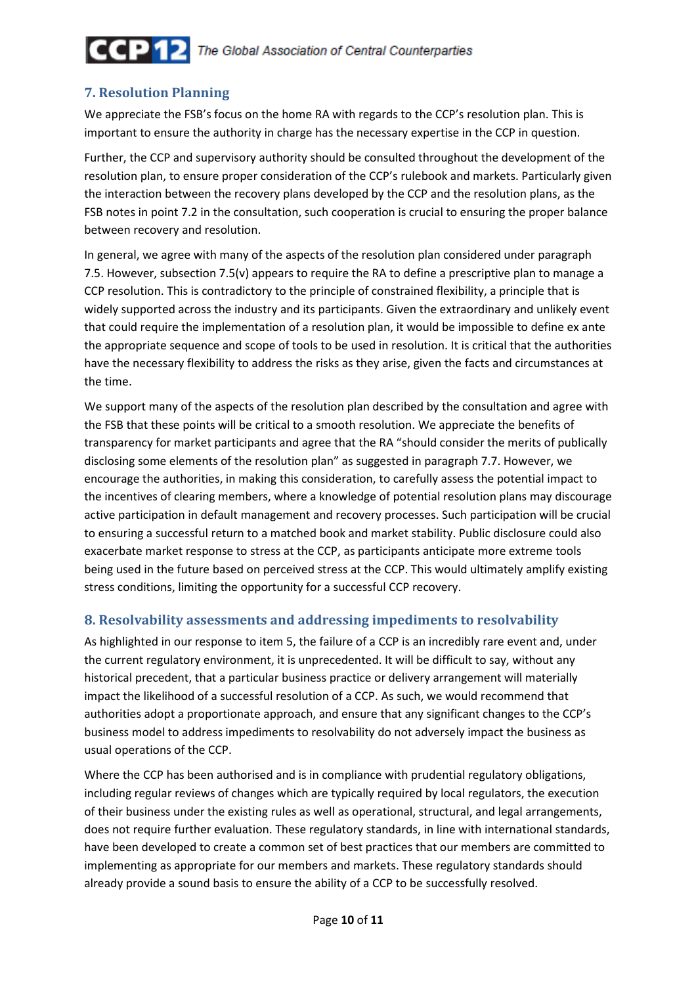## 7. Resolution Planning

We appreciate the FSB's focus on the home RA with regards to the CCP's resolution plan. This is important to ensure the authority in charge has the necessary expertise in the CCP in question.

Further, the CCP and supervisory authority should be consulted throughout the development of the resolution plan, to ensure proper consideration of the CCP's rulebook and markets. Particularly given the interaction between the recovery plans developed by the CCP and the resolution plans, as the FSB notes in point 7.2 in the consultation, such cooperation is crucial to ensuring the proper balance between recovery and resolution.

In general, we agree with many of the aspects of the resolution plan considered under paragraph 7.5. However, subsection 7.5(v) appears to require the RA to define a prescriptive plan to manage a CCP resolution. This is contradictory to the principle of constrained flexibility, a principle that is widely supported across the industry and its participants. Given the extraordinary and unlikely event that could require the implementation of a resolution plan, it would be impossible to define ex ante the appropriate sequence and scope of tools to be used in resolution. It is critical that the authorities have the necessary flexibility to address the risks as they arise, given the facts and circumstances at the time.

We support many of the aspects of the resolution plan described by the consultation and agree with the FSB that these points will be critical to a smooth resolution. We appreciate the benefits of transparency for market participants and agree that the RA "should consider the merits of publically disclosing some elements of the resolution plan" as suggested in paragraph 7.7. However, we encourage the authorities, in making this consideration, to carefully assess the potential impact to the incentives of clearing members, where a knowledge of potential resolution plans may discourage active participation in default management and recovery processes. Such participation will be crucial to ensuring a successful return to a matched book and market stability. Public disclosure could also exacerbate market response to stress at the CCP, as participants anticipate more extreme tools being used in the future based on perceived stress at the CCP. This would ultimately amplify existing stress conditions, limiting the opportunity for a successful CCP recovery.

### 8. Resolvability assessments and addressing impediments to resolvability

As highlighted in our response to item 5, the failure of a CCP is an incredibly rare event and, under the current regulatory environment, it is unprecedented. It will be difficult to say, without any historical precedent, that a particular business practice or delivery arrangement will materially impact the likelihood of a successful resolution of a CCP. As such, we would recommend that authorities adopt a proportionate approach, and ensure that any significant changes to the CCP's business model to address impediments to resolvability do not adversely impact the business as usual operations of the CCP.

Where the CCP has been authorised and is in compliance with prudential regulatory obligations, including regular reviews of changes which are typically required by local regulators, the execution of their business under the existing rules as well as operational, structural, and legal arrangements, does not require further evaluation. These regulatory standards, in line with international standards, have been developed to create a common set of best practices that our members are committed to implementing as appropriate for our members and markets. These regulatory standards should already provide a sound basis to ensure the ability of a CCP to be successfully resolved.